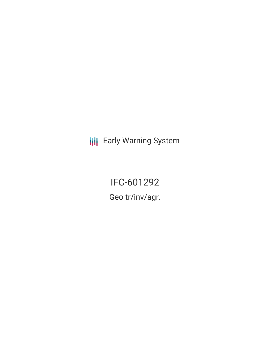**III** Early Warning System

IFC-601292 Geo tr/inv/agr.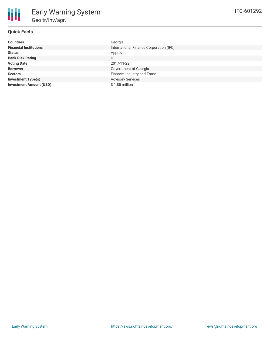### **Quick Facts**

冊

| <b>Countries</b>               | Georgia                                 |
|--------------------------------|-----------------------------------------|
| <b>Financial Institutions</b>  | International Finance Corporation (IFC) |
| <b>Status</b>                  | Approved                                |
| <b>Bank Risk Rating</b>        | U                                       |
| <b>Voting Date</b>             | 2017-11-22                              |
| <b>Borrower</b>                | Government of Georgia                   |
| <b>Sectors</b>                 | Finance, Industry and Trade             |
| <b>Investment Type(s)</b>      | <b>Advisory Services</b>                |
| <b>Investment Amount (USD)</b> | \$1.85 million                          |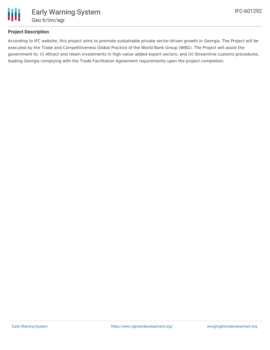

# **Project Description**

According to IFC website, this project aims to promote sustainable private sector-driven growth in Georgia. The Project will be executed by the Trade and Competitiveness Global Practice of the World Bank Group (WBG). The Project will assist the government to: (i) Attract and retain investments in high-value added export sectors; and (ii) Streamline customs procedures, leading Georgia complying with the Trade Facilitation Agreement requirements upon the project completion.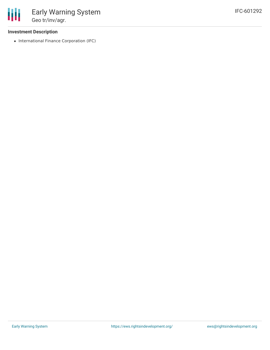### **Investment Description**

• International Finance Corporation (IFC)